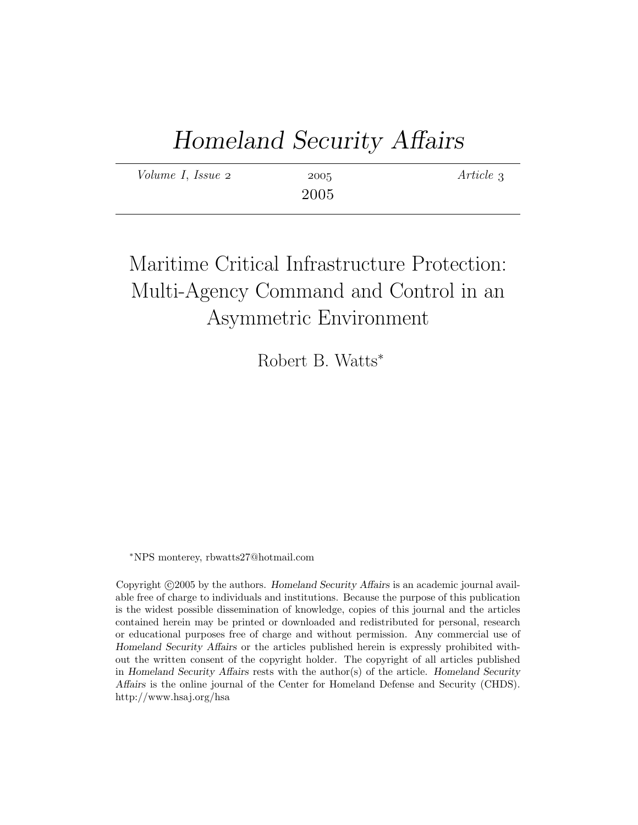# Homeland Security Affairs

| Volume I, Issue 2 | 2005 | Article 3 |
|-------------------|------|-----------|
|                   | 2005 |           |

# Maritime Critical Infrastructure Protection: Multi-Agency Command and Control in an Asymmetric Environment

Robert B. Watts<sup>∗</sup>

<sup>∗</sup>NPS monterey, rbwatts27@hotmail.com

Copyright ©2005 by the authors. Homeland Security Affairs is an academic journal available free of charge to individuals and institutions. Because the purpose of this publication is the widest possible dissemination of knowledge, copies of this journal and the articles contained herein may be printed or downloaded and redistributed for personal, research or educational purposes free of charge and without permission. Any commercial use of Homeland Security Affairs or the articles published herein is expressly prohibited without the written consent of the copyright holder. The copyright of all articles published in Homeland Security Affairs rests with the author(s) of the article. Homeland Security Affairs is the online journal of the Center for Homeland Defense and Security (CHDS). http://www.hsaj.org/hsa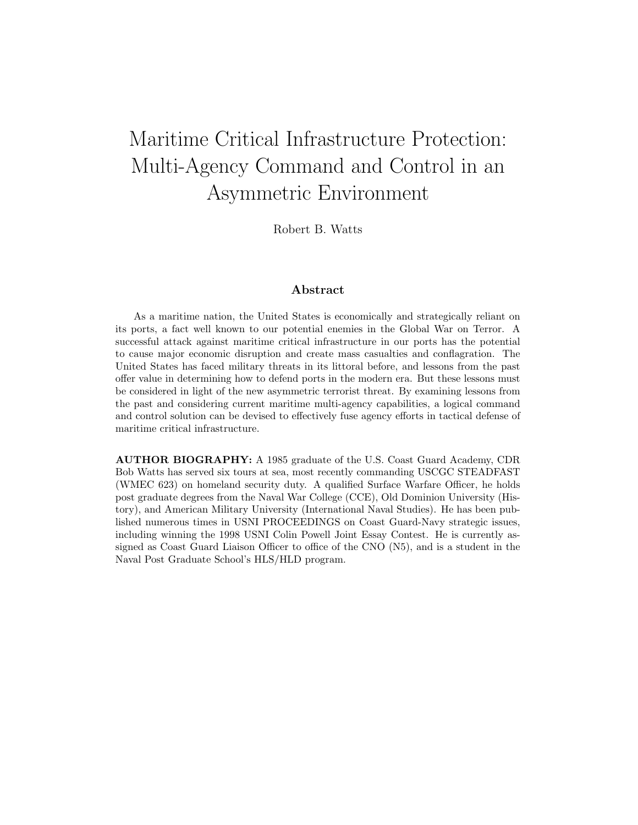# Maritime Critical Infrastructure Protection: Multi-Agency Command and Control in an Asymmetric Environment

Robert B. Watts

### Abstract

As a maritime nation, the United States is economically and strategically reliant on its ports, a fact well known to our potential enemies in the Global War on Terror. A successful attack against maritime critical infrastructure in our ports has the potential to cause major economic disruption and create mass casualties and conflagration. The United States has faced military threats in its littoral before, and lessons from the past offer value in determining how to defend ports in the modern era. But these lessons must be considered in light of the new asymmetric terrorist threat. By examining lessons from the past and considering current maritime multi-agency capabilities, a logical command and control solution can be devised to effectively fuse agency efforts in tactical defense of maritime critical infrastructure.

AUTHOR BIOGRAPHY: A 1985 graduate of the U.S. Coast Guard Academy, CDR Bob Watts has served six tours at sea, most recently commanding USCGC STEADFAST (WMEC 623) on homeland security duty. A qualified Surface Warfare Officer, he holds post graduate degrees from the Naval War College (CCE), Old Dominion University (History), and American Military University (International Naval Studies). He has been published numerous times in USNI PROCEEDINGS on Coast Guard-Navy strategic issues, including winning the 1998 USNI Colin Powell Joint Essay Contest. He is currently assigned as Coast Guard Liaison Officer to office of the CNO (N5), and is a student in the Naval Post Graduate School's HLS/HLD program.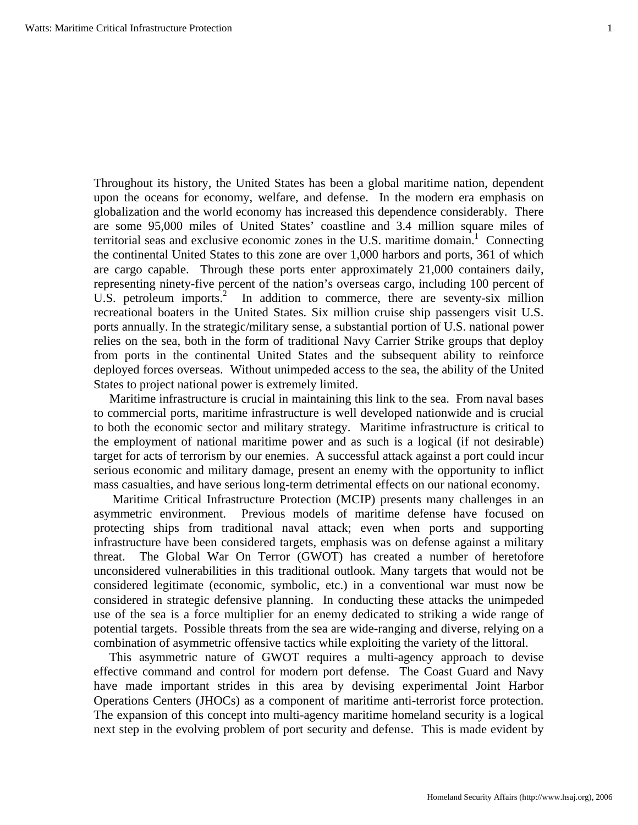Throughout its history, the United States has been a global maritime nation, dependent upon the oceans for economy, welfare, and defense. In the modern era emphasis on globalization and the world economy has increased this dependence considerably. There are some 95,000 miles of United States' coastline and 3.4 million square miles of territorial seas and exclusive economic zones in the U.S. maritime domain.<sup>1</sup> Connecting the continental United States to this zone are over 1,000 harbors and ports, 361 of which are cargo capable. Through these ports enter approximately 21,000 containers daily, representing ninety-five percent of the nation's overseas cargo, including 100 percent of U.S. petroleum imports.<sup>2</sup> In addition to commerce, there are seventy-six million recreational boaters in the United States. Six million cruise ship passengers visit U.S. ports annually. In the strategic/military sense, a substantial portion of U.S. national power relies on the sea, both in the form of traditional Navy Carrier Strike groups that deploy from ports in the continental United States and the subsequent ability to reinforce deployed forces overseas. Without unimpeded access to the sea, the ability of the United States to project national power is extremely limited.

 Maritime infrastructure is crucial in maintaining this link to the sea. From naval bases to commercial ports, maritime infrastructure is well developed nationwide and is crucial to both the economic sector and military strategy. Maritime infrastructure is critical to the employment of national maritime power and as such is a logical (if not desirable) target for acts of terrorism by our enemies. A successful attack against a port could incur serious economic and military damage, present an enemy with the opportunity to inflict mass casualties, and have serious long-term detrimental effects on our national economy.

 Maritime Critical Infrastructure Protection (MCIP) presents many challenges in an asymmetric environment. Previous models of maritime defense have focused on protecting ships from traditional naval attack; even when ports and supporting infrastructure have been considered targets, emphasis was on defense against a military threat. The Global War On Terror (GWOT) has created a number of heretofore unconsidered vulnerabilities in this traditional outlook. Many targets that would not be considered legitimate (economic, symbolic, etc.) in a conventional war must now be considered in strategic defensive planning. In conducting these attacks the unimpeded use of the sea is a force multiplier for an enemy dedicated to striking a wide range of potential targets. Possible threats from the sea are wide-ranging and diverse, relying on a combination of asymmetric offensive tactics while exploiting the variety of the littoral.

 This asymmetric nature of GWOT requires a multi-agency approach to devise effective command and control for modern port defense. The Coast Guard and Navy have made important strides in this area by devising experimental Joint Harbor Operations Centers (JHOCs) as a component of maritime anti-terrorist force protection. The expansion of this concept into multi-agency maritime homeland security is a logical next step in the evolving problem of port security and defense. This is made evident by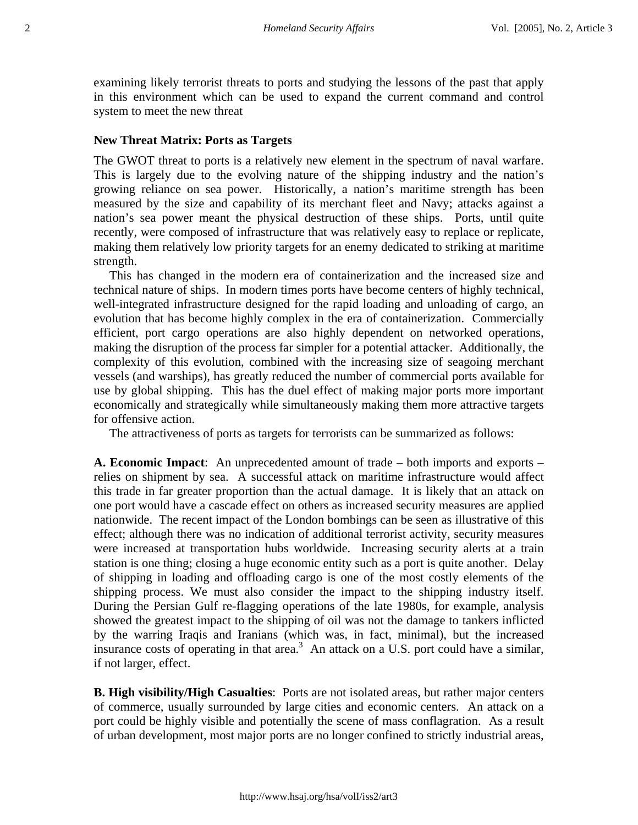examining likely terrorist threats to ports and studying the lessons of the past that apply in this environment which can be used to expand the current command and control system to meet the new threat

#### **New Threat Matrix: Ports as Targets**

The GWOT threat to ports is a relatively new element in the spectrum of naval warfare. This is largely due to the evolving nature of the shipping industry and the nation's growing reliance on sea power. Historically, a nation's maritime strength has been measured by the size and capability of its merchant fleet and Navy; attacks against a nation's sea power meant the physical destruction of these ships. Ports, until quite recently, were composed of infrastructure that was relatively easy to replace or replicate, making them relatively low priority targets for an enemy dedicated to striking at maritime strength.

 This has changed in the modern era of containerization and the increased size and technical nature of ships. In modern times ports have become centers of highly technical, well-integrated infrastructure designed for the rapid loading and unloading of cargo, an evolution that has become highly complex in the era of containerization. Commercially efficient, port cargo operations are also highly dependent on networked operations, making the disruption of the process far simpler for a potential attacker. Additionally, the complexity of this evolution, combined with the increasing size of seagoing merchant vessels (and warships), has greatly reduced the number of commercial ports available for use by global shipping. This has the duel effect of making major ports more important economically and strategically while simultaneously making them more attractive targets for offensive action.

The attractiveness of ports as targets for terrorists can be summarized as follows:

**A. Economic Impact**: An unprecedented amount of trade – both imports and exports – relies on shipment by sea. A successful attack on maritime infrastructure would affect this trade in far greater proportion than the actual damage. It is likely that an attack on one port would have a cascade effect on others as increased security measures are applied nationwide. The recent impact of the London bombings can be seen as illustrative of this effect; although there was no indication of additional terrorist activity, security measures were increased at transportation hubs worldwide. Increasing security alerts at a train station is one thing; closing a huge economic entity such as a port is quite another. Delay of shipping in loading and offloading cargo is one of the most costly elements of the shipping process. We must also consider the impact to the shipping industry itself. During the Persian Gulf re-flagging operations of the late 1980s, for example, analysis showed the greatest impact to the shipping of oil was not the damage to tankers inflicted by the warring Iraqis and Iranians (which was, in fact, minimal), but the increased insurance costs of operating in that area.<sup>3</sup> An attack on a U.S. port could have a similar, if not larger, effect.

**B. High visibility/High Casualties**: Ports are not isolated areas, but rather major centers of commerce, usually surrounded by large cities and economic centers. An attack on a port could be highly visible and potentially the scene of mass conflagration. As a result of urban development, most major ports are no longer confined to strictly industrial areas,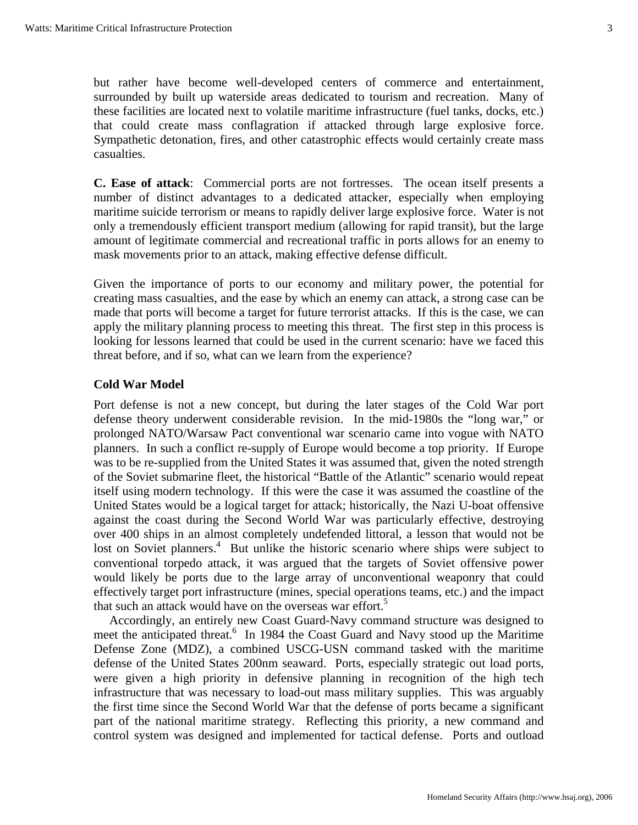but rather have become well-developed centers of commerce and entertainment, surrounded by built up waterside areas dedicated to tourism and recreation. Many of these facilities are located next to volatile maritime infrastructure (fuel tanks, docks, etc.) that could create mass conflagration if attacked through large explosive force. Sympathetic detonation, fires, and other catastrophic effects would certainly create mass casualties.

**C. Ease of attack**: Commercial ports are not fortresses. The ocean itself presents a number of distinct advantages to a dedicated attacker, especially when employing maritime suicide terrorism or means to rapidly deliver large explosive force. Water is not only a tremendously efficient transport medium (allowing for rapid transit), but the large amount of legitimate commercial and recreational traffic in ports allows for an enemy to mask movements prior to an attack, making effective defense difficult.

Given the importance of ports to our economy and military power, the potential for creating mass casualties, and the ease by which an enemy can attack, a strong case can be made that ports will become a target for future terrorist attacks. If this is the case, we can apply the military planning process to meeting this threat. The first step in this process is looking for lessons learned that could be used in the current scenario: have we faced this threat before, and if so, what can we learn from the experience?

# **Cold War Model**

Port defense is not a new concept, but during the later stages of the Cold War port defense theory underwent considerable revision. In the mid-1980s the "long war," or prolonged NATO/Warsaw Pact conventional war scenario came into vogue with NATO planners. In such a conflict re-supply of Europe would become a top priority. If Europe was to be re-supplied from the United States it was assumed that, given the noted strength of the Soviet submarine fleet, the historical "Battle of the Atlantic" scenario would repeat itself using modern technology. If this were the case it was assumed the coastline of the United States would be a logical target for attack; historically, the Nazi U-boat offensive against the coast during the Second World War was particularly effective, destroying over 400 ships in an almost completely undefended littoral, a lesson that would not be lost on Soviet planners.<sup>4</sup> But unlike the historic scenario where ships were subject to conventional torpedo attack, it was argued that the targets of Soviet offensive power would likely be ports due to the large array of unconventional weaponry that could effectively target port infrastructure (mines, special operations teams, etc.) and the impact that such an attack would have on the overseas war effort.<sup>5</sup>

 Accordingly, an entirely new Coast Guard-Navy command structure was designed to meet the anticipated threat.<sup>6</sup> In 1984 the Coast Guard and Navy stood up the Maritime Defense Zone (MDZ), a combined USCG-USN command tasked with the maritime defense of the United States 200nm seaward. Ports, especially strategic out load ports, were given a high priority in defensive planning in recognition of the high tech infrastructure that was necessary to load-out mass military supplies. This was arguably the first time since the Second World War that the defense of ports became a significant part of the national maritime strategy. Reflecting this priority, a new command and control system was designed and implemented for tactical defense. Ports and outload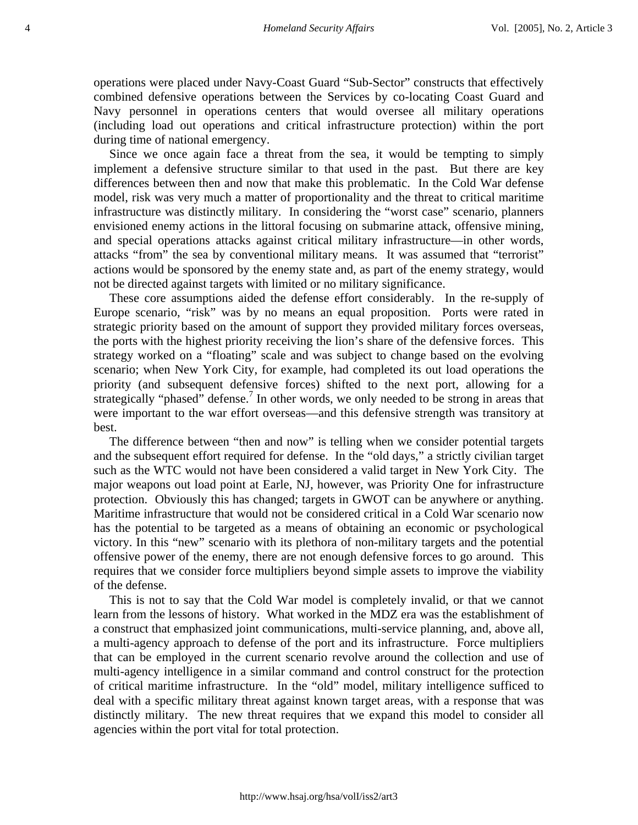operations were placed under Navy-Coast Guard "Sub-Sector" constructs that effectively combined defensive operations between the Services by co-locating Coast Guard and Navy personnel in operations centers that would oversee all military operations (including load out operations and critical infrastructure protection) within the port during time of national emergency.

 Since we once again face a threat from the sea, it would be tempting to simply implement a defensive structure similar to that used in the past. But there are key differences between then and now that make this problematic. In the Cold War defense model, risk was very much a matter of proportionality and the threat to critical maritime infrastructure was distinctly military. In considering the "worst case" scenario, planners envisioned enemy actions in the littoral focusing on submarine attack, offensive mining, and special operations attacks against critical military infrastructure—in other words, attacks "from" the sea by conventional military means. It was assumed that "terrorist" actions would be sponsored by the enemy state and, as part of the enemy strategy, would not be directed against targets with limited or no military significance.

 These core assumptions aided the defense effort considerably. In the re-supply of Europe scenario, "risk" was by no means an equal proposition. Ports were rated in strategic priority based on the amount of support they provided military forces overseas, the ports with the highest priority receiving the lion's share of the defensive forces. This strategy worked on a "floating" scale and was subject to change based on the evolving scenario; when New York City, for example, had completed its out load operations the priority (and subsequent defensive forces) shifted to the next port, allowing for a strategically "phased" defense.<sup>7</sup> In other words, we only needed to be strong in areas that were important to the war effort overseas—and this defensive strength was transitory at best.

 The difference between "then and now" is telling when we consider potential targets and the subsequent effort required for defense. In the "old days," a strictly civilian target such as the WTC would not have been considered a valid target in New York City. The major weapons out load point at Earle, NJ, however, was Priority One for infrastructure protection. Obviously this has changed; targets in GWOT can be anywhere or anything. Maritime infrastructure that would not be considered critical in a Cold War scenario now has the potential to be targeted as a means of obtaining an economic or psychological victory. In this "new" scenario with its plethora of non-military targets and the potential offensive power of the enemy, there are not enough defensive forces to go around. This requires that we consider force multipliers beyond simple assets to improve the viability of the defense.

 This is not to say that the Cold War model is completely invalid, or that we cannot learn from the lessons of history. What worked in the MDZ era was the establishment of a construct that emphasized joint communications, multi-service planning, and, above all, a multi-agency approach to defense of the port and its infrastructure. Force multipliers that can be employed in the current scenario revolve around the collection and use of multi-agency intelligence in a similar command and control construct for the protection of critical maritime infrastructure. In the "old" model, military intelligence sufficed to deal with a specific military threat against known target areas, with a response that was distinctly military. The new threat requires that we expand this model to consider all agencies within the port vital for total protection.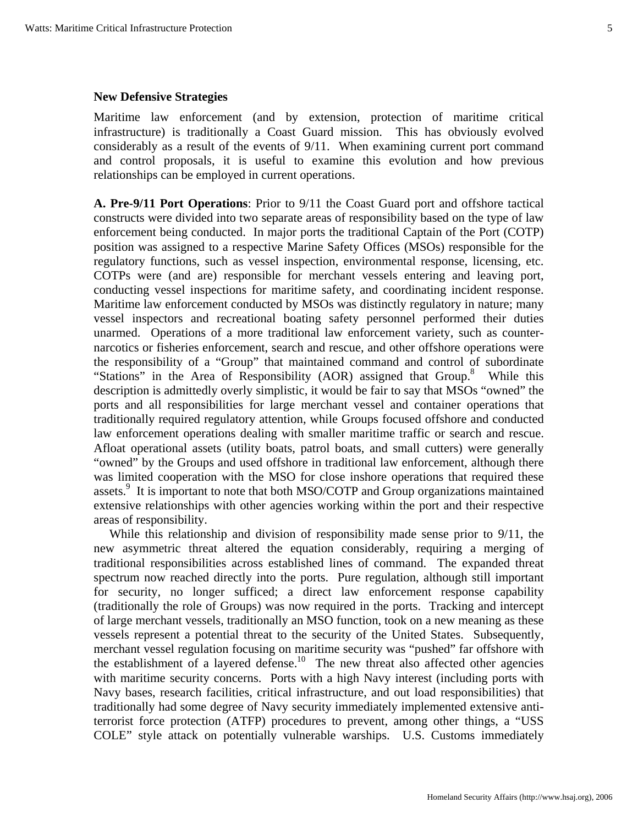#### **New Defensive Strategies**

Maritime law enforcement (and by extension, protection of maritime critical infrastructure) is traditionally a Coast Guard mission. This has obviously evolved considerably as a result of the events of 9/11. When examining current port command and control proposals, it is useful to examine this evolution and how previous relationships can be employed in current operations.

**A. Pre-9/11 Port Operations**: Prior to 9/11 the Coast Guard port and offshore tactical constructs were divided into two separate areas of responsibility based on the type of law enforcement being conducted. In major ports the traditional Captain of the Port (COTP) position was assigned to a respective Marine Safety Offices (MSOs) responsible for the regulatory functions, such as vessel inspection, environmental response, licensing, etc. COTPs were (and are) responsible for merchant vessels entering and leaving port, conducting vessel inspections for maritime safety, and coordinating incident response. Maritime law enforcement conducted by MSOs was distinctly regulatory in nature; many vessel inspectors and recreational boating safety personnel performed their duties unarmed. Operations of a more traditional law enforcement variety, such as counternarcotics or fisheries enforcement, search and rescue, and other offshore operations were the responsibility of a "Group" that maintained command and control of subordinate "Stations" in the Area of Responsibility (AOR) assigned that Group.<sup>8</sup> While this description is admittedly overly simplistic, it would be fair to say that MSOs "owned" the ports and all responsibilities for large merchant vessel and container operations that traditionally required regulatory attention, while Groups focused offshore and conducted law enforcement operations dealing with smaller maritime traffic or search and rescue. Afloat operational assets (utility boats, patrol boats, and small cutters) were generally "owned" by the Groups and used offshore in traditional law enforcement, although there was limited cooperation with the MSO for close inshore operations that required these assets.<sup>9</sup> It is important to note that both MSO/COTP and Group organizations maintained extensive relationships with other agencies working within the port and their respective areas of responsibility.

 While this relationship and division of responsibility made sense prior to 9/11, the new asymmetric threat altered the equation considerably, requiring a merging of traditional responsibilities across established lines of command. The expanded threat spectrum now reached directly into the ports. Pure regulation, although still important for security, no longer sufficed; a direct law enforcement response capability (traditionally the role of Groups) was now required in the ports. Tracking and intercept of large merchant vessels, traditionally an MSO function, took on a new meaning as these vessels represent a potential threat to the security of the United States. Subsequently, merchant vessel regulation focusing on maritime security was "pushed" far offshore with the establishment of a layered defense.<sup>10</sup> The new threat also affected other agencies with maritime security concerns. Ports with a high Navy interest (including ports with Navy bases, research facilities, critical infrastructure, and out load responsibilities) that traditionally had some degree of Navy security immediately implemented extensive antiterrorist force protection (ATFP) procedures to prevent, among other things, a "USS COLE" style attack on potentially vulnerable warships. U.S. Customs immediately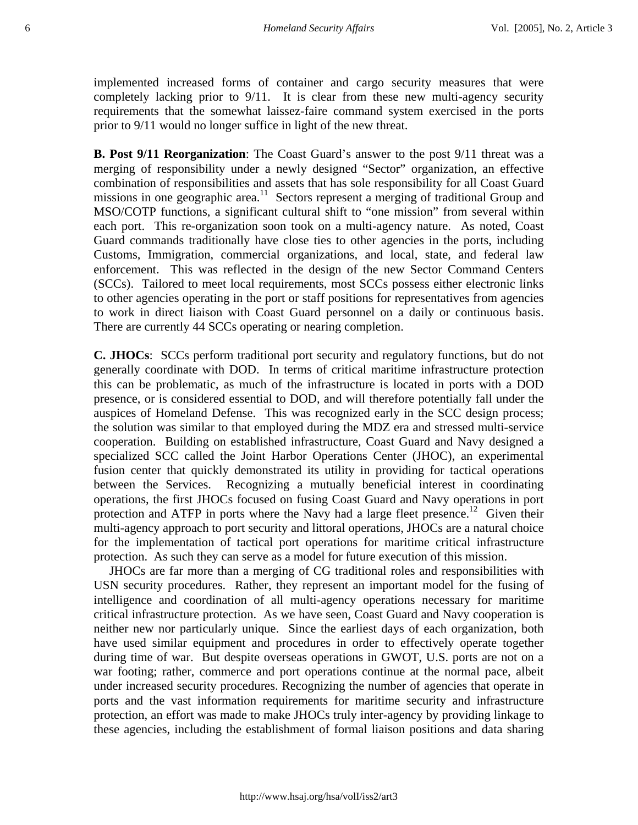implemented increased forms of container and cargo security measures that were completely lacking prior to 9/11. It is clear from these new multi-agency security requirements that the somewhat laissez-faire command system exercised in the ports prior to 9/11 would no longer suffice in light of the new threat.

**B. Post 9/11 Reorganization**: The Coast Guard's answer to the post 9/11 threat was a merging of responsibility under a newly designed "Sector" organization, an effective combination of responsibilities and assets that has sole responsibility for all Coast Guard missions in one geographic area.<sup>11</sup> Sectors represent a merging of traditional Group and MSO/COTP functions, a significant cultural shift to "one mission" from several within each port. This re-organization soon took on a multi-agency nature. As noted, Coast Guard commands traditionally have close ties to other agencies in the ports, including Customs, Immigration, commercial organizations, and local, state, and federal law enforcement. This was reflected in the design of the new Sector Command Centers (SCCs). Tailored to meet local requirements, most SCCs possess either electronic links to other agencies operating in the port or staff positions for representatives from agencies to work in direct liaison with Coast Guard personnel on a daily or continuous basis. There are currently 44 SCCs operating or nearing completion.

**C. JHOCs**: SCCs perform traditional port security and regulatory functions, but do not generally coordinate with DOD. In terms of critical maritime infrastructure protection this can be problematic, as much of the infrastructure is located in ports with a DOD presence, or is considered essential to DOD, and will therefore potentially fall under the auspices of Homeland Defense. This was recognized early in the SCC design process; the solution was similar to that employed during the MDZ era and stressed multi-service cooperation. Building on established infrastructure, Coast Guard and Navy designed a specialized SCC called the Joint Harbor Operations Center (JHOC), an experimental fusion center that quickly demonstrated its utility in providing for tactical operations between the Services. Recognizing a mutually beneficial interest in coordinating operations, the first JHOCs focused on fusing Coast Guard and Navy operations in port protection and ATFP in ports where the Navy had a large fleet presence.<sup>12</sup> Given their multi-agency approach to port security and littoral operations, JHOCs are a natural choice for the implementation of tactical port operations for maritime critical infrastructure protection. As such they can serve as a model for future execution of this mission.

 JHOCs are far more than a merging of CG traditional roles and responsibilities with USN security procedures. Rather, they represent an important model for the fusing of intelligence and coordination of all multi-agency operations necessary for maritime critical infrastructure protection. As we have seen, Coast Guard and Navy cooperation is neither new nor particularly unique. Since the earliest days of each organization, both have used similar equipment and procedures in order to effectively operate together during time of war. But despite overseas operations in GWOT, U.S. ports are not on a war footing; rather, commerce and port operations continue at the normal pace, albeit under increased security procedures. Recognizing the number of agencies that operate in ports and the vast information requirements for maritime security and infrastructure protection, an effort was made to make JHOCs truly inter-agency by providing linkage to these agencies, including the establishment of formal liaison positions and data sharing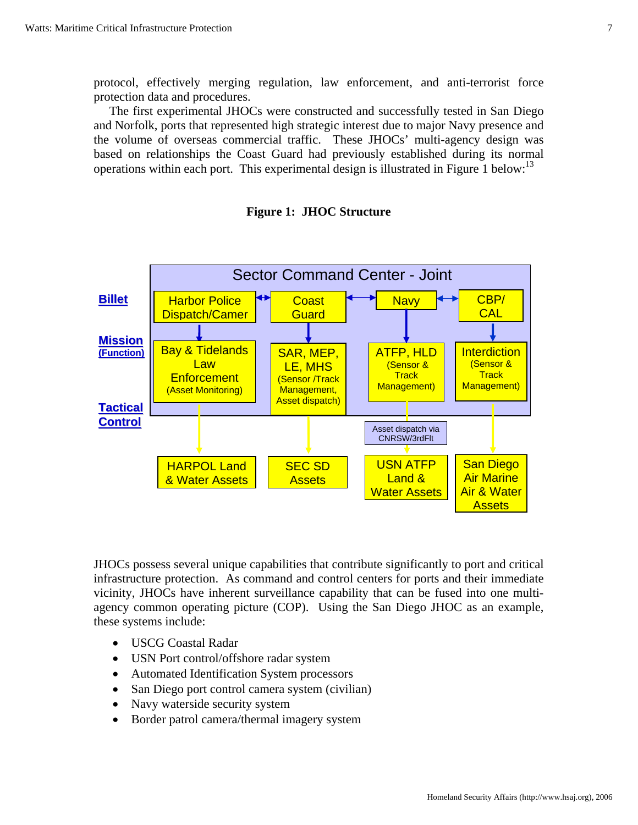protocol, effectively merging regulation, law enforcement, and anti-terrorist force protection data and procedures.

 The first experimental JHOCs were constructed and successfully tested in San Diego and Norfolk, ports that represented high strategic interest due to major Navy presence and the volume of overseas commercial traffic. These JHOCs' multi-agency design was based on relationships the Coast Guard had previously established during its normal operations within each port. This experimental design is illustrated in Figure 1 below:<sup>13</sup>



#### **Figure 1: JHOC Structure**

JHOCs possess several unique capabilities that contribute significantly to port and critical infrastructure protection. As command and control centers for ports and their immediate vicinity, JHOCs have inherent surveillance capability that can be fused into one multiagency common operating picture (COP). Using the San Diego JHOC as an example, these systems include:

- USCG Coastal Radar
- USN Port control/offshore radar system
- Automated Identification System processors
- San Diego port control camera system (civilian)
- Navy waterside security system
- Border patrol camera/thermal imagery system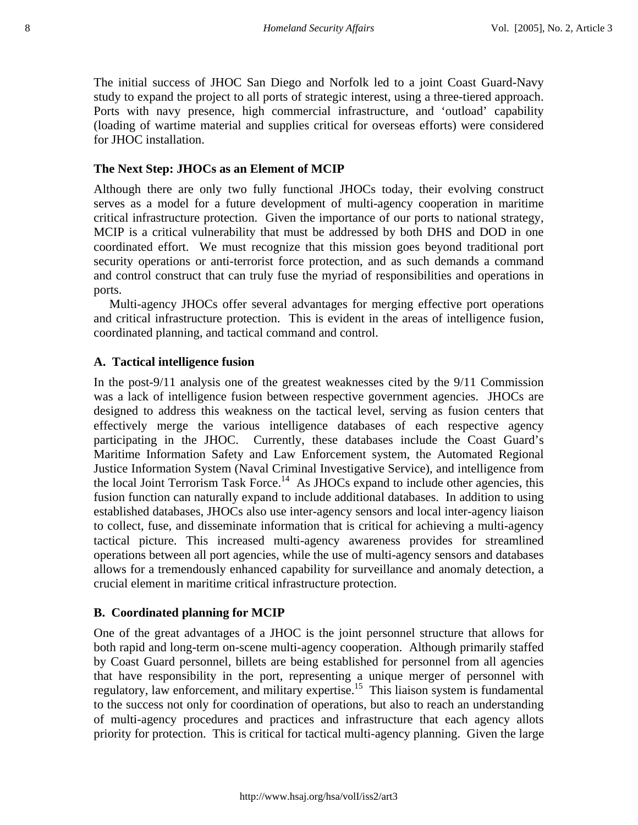The initial success of JHOC San Diego and Norfolk led to a joint Coast Guard-Navy study to expand the project to all ports of strategic interest, using a three-tiered approach. Ports with navy presence, high commercial infrastructure, and 'outload' capability (loading of wartime material and supplies critical for overseas efforts) were considered for JHOC installation.

## **The Next Step: JHOCs as an Element of MCIP**

Although there are only two fully functional JHOCs today, their evolving construct serves as a model for a future development of multi-agency cooperation in maritime critical infrastructure protection. Given the importance of our ports to national strategy, MCIP is a critical vulnerability that must be addressed by both DHS and DOD in one coordinated effort. We must recognize that this mission goes beyond traditional port security operations or anti-terrorist force protection, and as such demands a command and control construct that can truly fuse the myriad of responsibilities and operations in ports.

 Multi-agency JHOCs offer several advantages for merging effective port operations and critical infrastructure protection. This is evident in the areas of intelligence fusion, coordinated planning, and tactical command and control.

### **A. Tactical intelligence fusion**

In the post-9/11 analysis one of the greatest weaknesses cited by the 9/11 Commission was a lack of intelligence fusion between respective government agencies. JHOCs are designed to address this weakness on the tactical level, serving as fusion centers that effectively merge the various intelligence databases of each respective agency participating in the JHOC. Currently, these databases include the Coast Guard's Maritime Information Safety and Law Enforcement system, the Automated Regional Justice Information System (Naval Criminal Investigative Service), and intelligence from the local Joint Terrorism Task Force.<sup>14</sup> As JHOCs expand to include other agencies, this fusion function can naturally expand to include additional databases. In addition to using established databases, JHOCs also use inter-agency sensors and local inter-agency liaison to collect, fuse, and disseminate information that is critical for achieving a multi-agency tactical picture. This increased multi-agency awareness provides for streamlined operations between all port agencies, while the use of multi-agency sensors and databases allows for a tremendously enhanced capability for surveillance and anomaly detection, a crucial element in maritime critical infrastructure protection.

# **B. Coordinated planning for MCIP**

One of the great advantages of a JHOC is the joint personnel structure that allows for both rapid and long-term on-scene multi-agency cooperation. Although primarily staffed by Coast Guard personnel, billets are being established for personnel from all agencies that have responsibility in the port, representing a unique merger of personnel with regulatory, law enforcement, and military expertise.<sup>15</sup> This liaison system is fundamental to the success not only for coordination of operations, but also to reach an understanding of multi-agency procedures and practices and infrastructure that each agency allots priority for protection. This is critical for tactical multi-agency planning. Given the large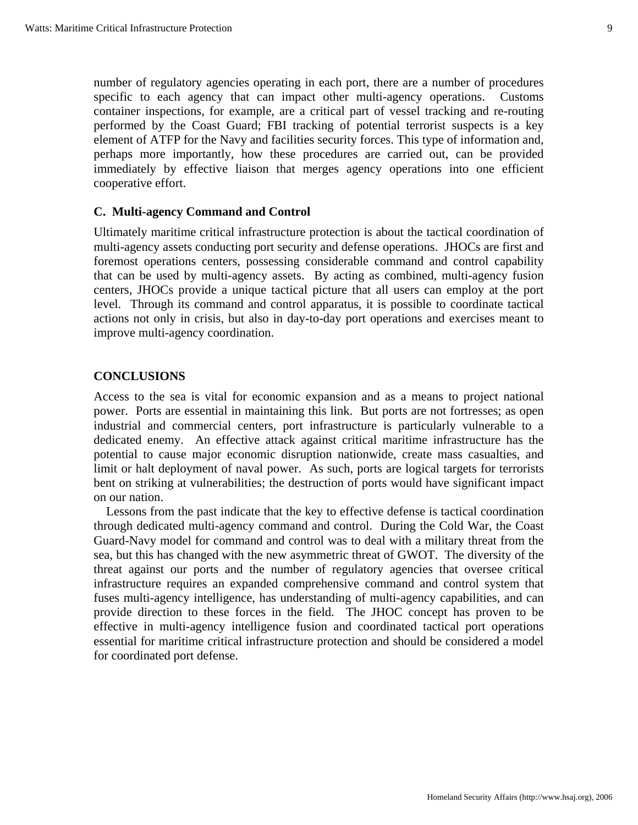number of regulatory agencies operating in each port, there are a number of procedures specific to each agency that can impact other multi-agency operations. Customs container inspections, for example, are a critical part of vessel tracking and re-routing performed by the Coast Guard; FBI tracking of potential terrorist suspects is a key element of ATFP for the Navy and facilities security forces. This type of information and, perhaps more importantly, how these procedures are carried out, can be provided immediately by effective liaison that merges agency operations into one efficient cooperative effort.

### **C. Multi-agency Command and Control**

Ultimately maritime critical infrastructure protection is about the tactical coordination of multi-agency assets conducting port security and defense operations. JHOCs are first and foremost operations centers, possessing considerable command and control capability that can be used by multi-agency assets. By acting as combined, multi-agency fusion centers, JHOCs provide a unique tactical picture that all users can employ at the port level. Through its command and control apparatus, it is possible to coordinate tactical actions not only in crisis, but also in day-to-day port operations and exercises meant to improve multi-agency coordination.

# **CONCLUSIONS**

Access to the sea is vital for economic expansion and as a means to project national power. Ports are essential in maintaining this link. But ports are not fortresses; as open industrial and commercial centers, port infrastructure is particularly vulnerable to a dedicated enemy. An effective attack against critical maritime infrastructure has the potential to cause major economic disruption nationwide, create mass casualties, and limit or halt deployment of naval power. As such, ports are logical targets for terrorists bent on striking at vulnerabilities; the destruction of ports would have significant impact on our nation.

 Lessons from the past indicate that the key to effective defense is tactical coordination through dedicated multi-agency command and control. During the Cold War, the Coast Guard-Navy model for command and control was to deal with a military threat from the sea, but this has changed with the new asymmetric threat of GWOT. The diversity of the threat against our ports and the number of regulatory agencies that oversee critical infrastructure requires an expanded comprehensive command and control system that fuses multi-agency intelligence, has understanding of multi-agency capabilities, and can provide direction to these forces in the field. The JHOC concept has proven to be effective in multi-agency intelligence fusion and coordinated tactical port operations essential for maritime critical infrastructure protection and should be considered a model for coordinated port defense.